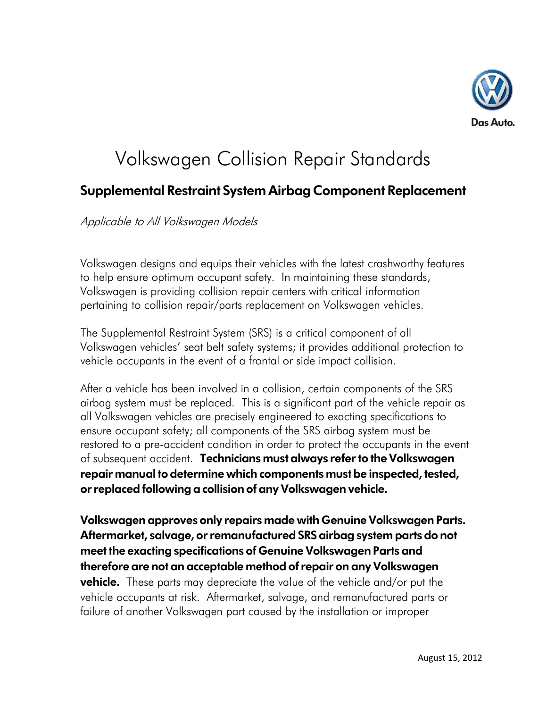

## Volkswagen Collision Repair Standards

## **Supplemental Restraint System Airbag Component Replacement**

Applicable to All Volkswagen Models

Volkswagen designs and equips their vehicles with the latest crashworthy features to help ensure optimum occupant safety. In maintaining these standards, Volkswagen is providing collision repair centers with critical information pertaining to collision repair/parts replacement on Volkswagen vehicles.

The Supplemental Restraint System (SRS) is a critical component of all Volkswagen vehicles' seat belt safety systems; it provides additional protection to vehicle occupants in the event of a frontal or side impact collision.

After a vehicle has been involved in a collision, certain components of the SRS airbag system must be replaced. This is a significant part of the vehicle repair as all Volkswagen vehicles are precisely engineered to exacting specifications to ensure occupant safety; all components of the SRS airbag system must be restored to a pre-accident condition in order to protect the occupants in the event of subsequent accident. **Technicians must always refer to the Volkswagen repair manual to determine which components must be inspected, tested, or replaced following a collision of any Volkswagen vehicle.**

**Volkswagen approves only repairs made with Genuine Volkswagen Parts. Aftermarket, salvage, or remanufactured SRS airbag system parts do not meet the exacting specifications of Genuine Volkswagen Parts and therefore are not an acceptable method of repair on any Volkswagen vehicle.** These parts may depreciate the value of the vehicle and/or put the vehicle occupants at risk. Aftermarket, salvage, and remanufactured parts or failure of another Volkswagen part caused by the installation or improper